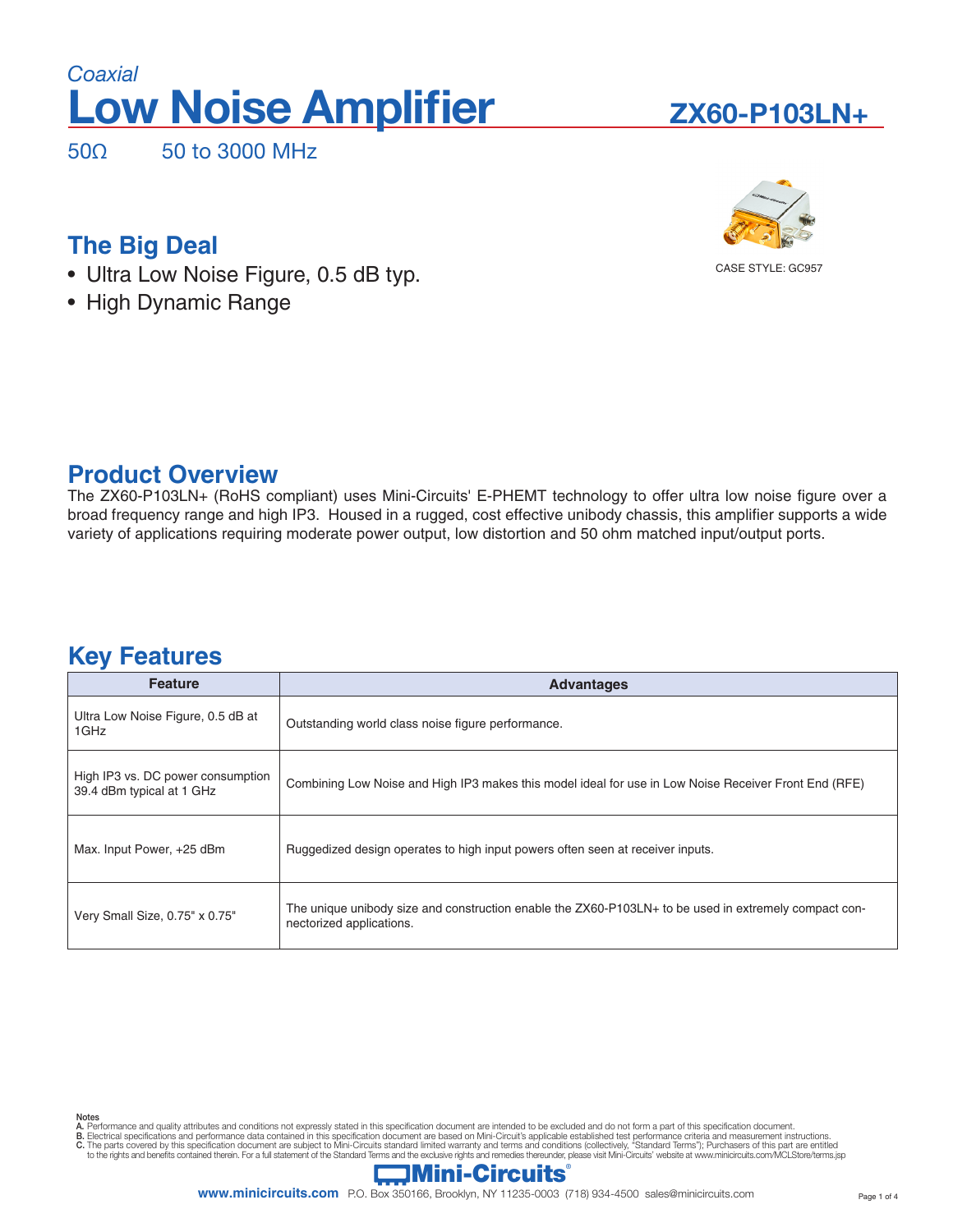# **Low Noise Amplifier** *Coaxial*

50Ω50 to 3000 MHz

# **ZX60-P103LN+**



# **The Big Deal**

- Ultra Low Noise Figure, 0.5 dB typ.
- High Dynamic Range

## **Product Overview**

The ZX60-P103LN+ (RoHS compliant) uses Mini-Circuits' E-PHEMT technology to offer ultra low noise figure over a broad frequency range and high IP3. Housed in a rugged, cost effective unibody chassis, this amplifier supports a wide variety of applications requiring moderate power output, low distortion and 50 ohm matched input/output ports.

# **Key Features**

| <b>Feature</b>                                                 | <b>Advantages</b>                                                                                                                 |
|----------------------------------------------------------------|-----------------------------------------------------------------------------------------------------------------------------------|
| Ultra Low Noise Figure, 0.5 dB at<br>1GHz                      | Outstanding world class noise figure performance.                                                                                 |
| High IP3 vs. DC power consumption<br>39.4 dBm typical at 1 GHz | Combining Low Noise and High IP3 makes this model ideal for use in Low Noise Receiver Front End (RFE)                             |
| Max. Input Power, +25 dBm                                      | Ruggedized design operates to high input powers often seen at receiver inputs.                                                    |
| Very Small Size, 0.75" x 0.75"                                 | The unique unibody size and construction enable the ZX60-P103LN+ to be used in extremely compact con-<br>nectorized applications. |

- 
- Notes<br>A. Performance and quality attributes and conditions not expressly stated in this specification document are intended to be excluded and do not form a part of this specification document.<br>B. Electrical specifications

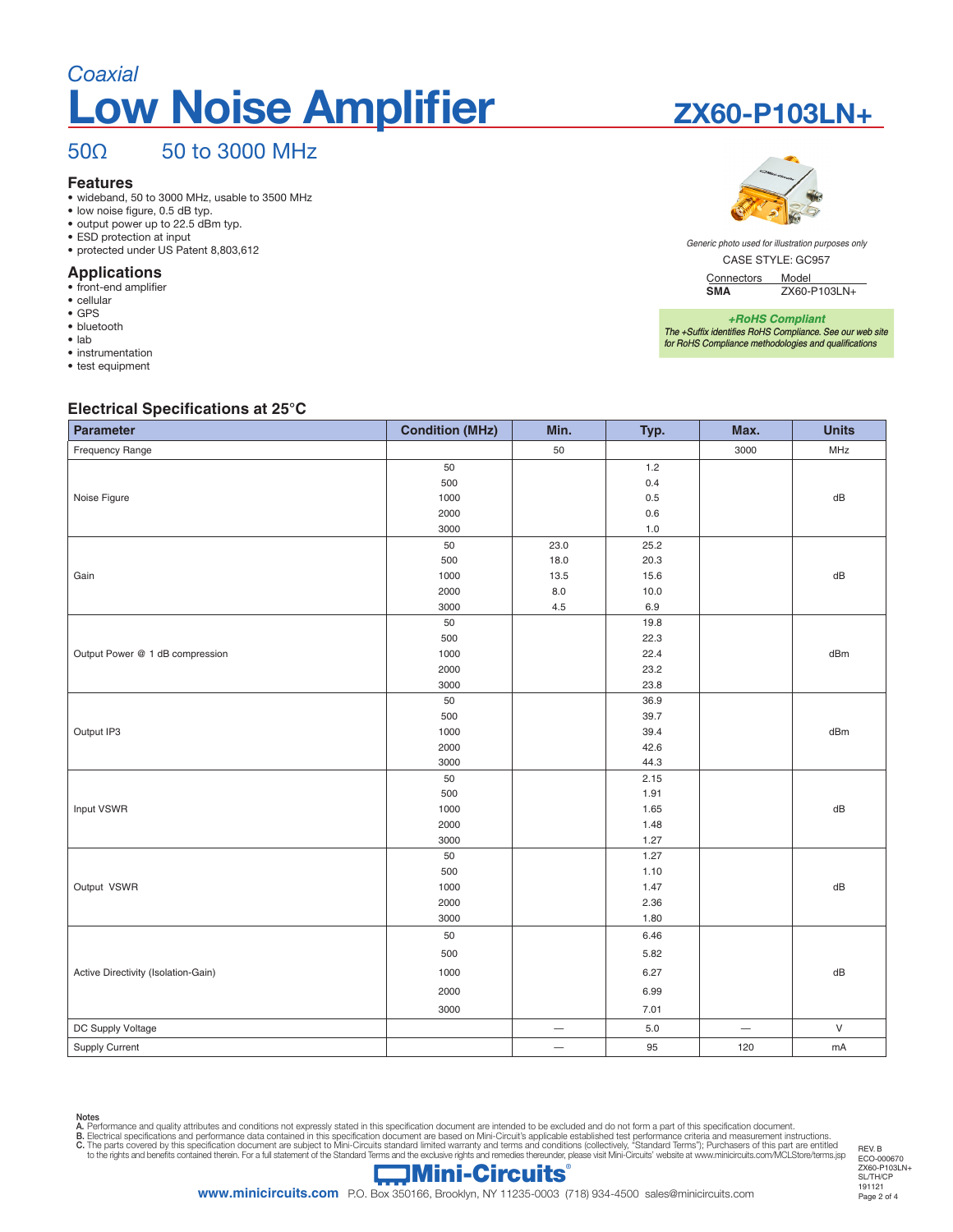# **Low Noise Amplifier** *Coaxial*

## 50Ω50 to 3000 MHz

### **Features**

• wideband, 50 to 3000 MHz, usable to 3500 MHz

- low noise figure, 0.5 dB typ.
- output power up to 22.5 dBm typ.
- ESD protection at input • protected under US Patent 8,803,612

## **Applications**

- front-end amplifier
- cellular
- GPS
- bluetooth
- lab
- instrumentation • test equipment

### **Electrical Specifications at 25°C**

| . .<br><b>Parameter</b>             | <b>Condition (MHz)</b> | Min.                     | Typ.    | Max.              | <b>Units</b> |
|-------------------------------------|------------------------|--------------------------|---------|-------------------|--------------|
| <b>Frequency Range</b>              |                        | 50                       |         | 3000              | MHz          |
|                                     | 50                     |                          | 1.2     |                   |              |
|                                     | 500                    |                          | 0.4     |                   |              |
| Noise Figure                        | 1000                   |                          | 0.5     |                   | dB           |
|                                     | 2000                   |                          | $0.6\,$ |                   |              |
|                                     | 3000                   |                          | $1.0$   |                   |              |
|                                     | 50                     | 23.0                     | 25.2    |                   |              |
|                                     | 500                    | 18.0                     | 20.3    |                   |              |
| Gain                                | 1000                   | 13.5                     | 15.6    |                   | dB           |
|                                     | 2000                   | $_{\rm 8.0}$             | 10.0    |                   |              |
|                                     | 3000                   | 4.5                      | 6.9     |                   |              |
|                                     | 50                     |                          | 19.8    |                   |              |
|                                     | 500                    |                          | 22.3    |                   |              |
| Output Power @ 1 dB compression     | 1000                   |                          | 22.4    |                   | dBm          |
|                                     | 2000                   |                          | 23.2    |                   |              |
|                                     | 3000                   |                          | 23.8    |                   |              |
|                                     | 50                     |                          | 36.9    |                   |              |
|                                     | 500                    |                          | 39.7    |                   |              |
| Output IP3                          | 1000                   |                          | 39.4    |                   | dBm          |
|                                     | 2000                   |                          | 42.6    |                   |              |
|                                     | 3000                   |                          | 44.3    |                   |              |
|                                     | 50                     |                          | 2.15    |                   |              |
|                                     | 500                    |                          | 1.91    |                   |              |
| Input VSWR                          | 1000                   |                          | 1.65    |                   | dB           |
|                                     | 2000                   |                          | 1.48    |                   |              |
|                                     | 3000                   |                          | 1.27    |                   |              |
|                                     | 50                     |                          | 1.27    |                   |              |
|                                     | 500                    |                          | 1.10    |                   |              |
| Output VSWR                         | 1000                   |                          | 1.47    |                   | dB           |
|                                     | 2000                   |                          | 2.36    |                   |              |
|                                     | 3000                   |                          | 1.80    |                   |              |
|                                     | 50                     |                          | 6.46    |                   |              |
|                                     | 500                    |                          | 5.82    |                   |              |
| Active Directivity (Isolation-Gain) | 1000                   |                          | 6.27    |                   | dB           |
|                                     | 2000                   |                          | 6.99    |                   |              |
|                                     | 3000                   |                          | 7.01    |                   |              |
| DC Supply Voltage                   |                        | $\overline{\phantom{0}}$ | $5.0\,$ | $\qquad \qquad -$ | ${\sf V}$    |
| Supply Current                      |                        | $\qquad \qquad -$        | 95      | 120               | mA           |



CASE STYLE: GC957 *Generic photo used for illustration purposes only*

Connectors Model<br>
SMA ZX60-F

**SMA** ZX60-P103LN+

*+RoHS Compliant The +Suffix identifies RoHS Compliance. See our web site for RoHS Compliance methodologies and qualifications*

Notes<br>A. Performance and quality attributes and conditions not expressly stated in this specification document are intended to be excluded and do not form a part of this specification document.<br>B. Electrical specifications



REV. B ECO-000670 ZX60-P103LN+ SL/TH/CP 191121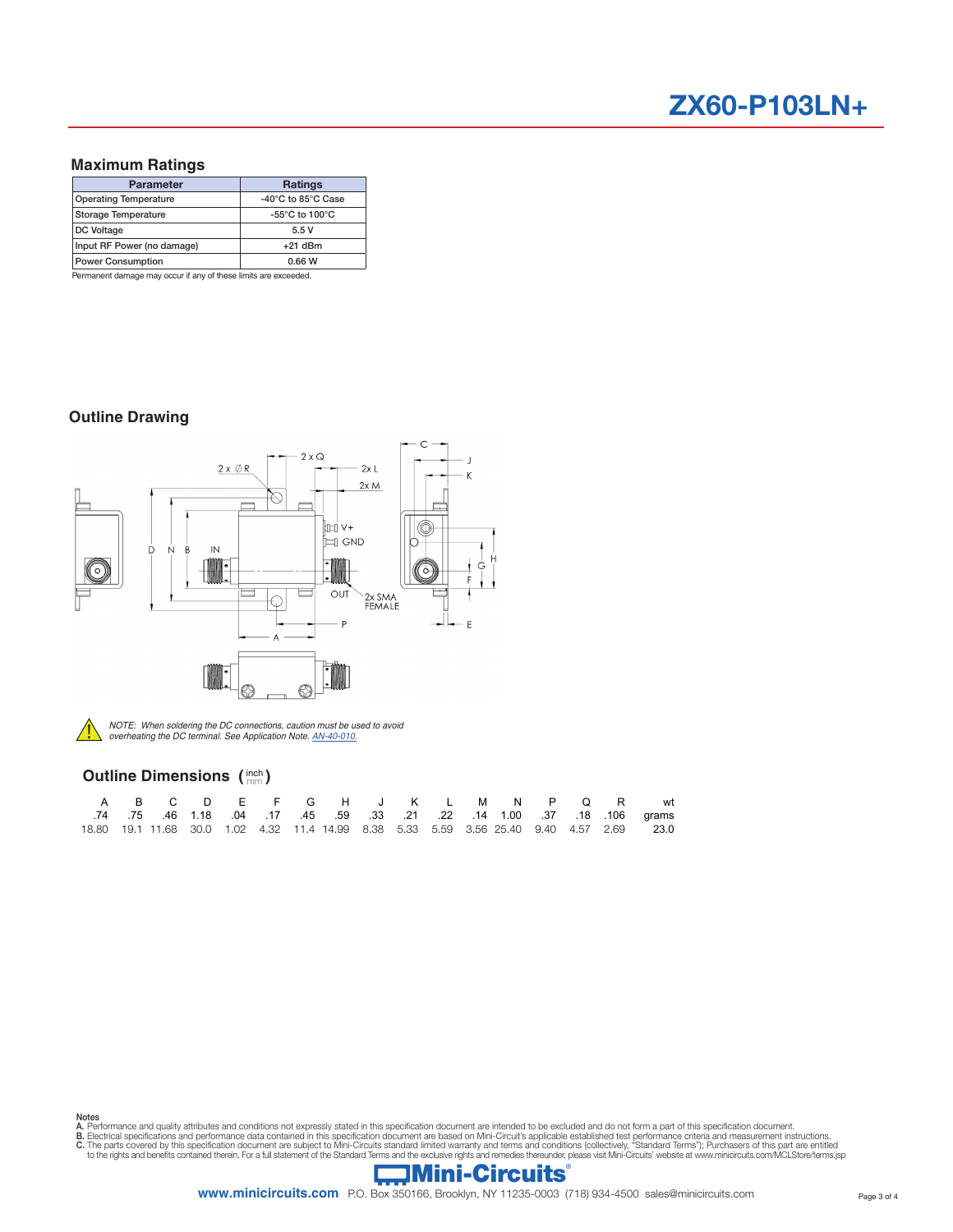### **Maximum Ratings**

| <b>Parameter</b>             | <b>Ratings</b>                     |  |  |  |
|------------------------------|------------------------------------|--|--|--|
| <b>Operating Temperature</b> | -40°C to 85°C Case                 |  |  |  |
| <b>Storage Temperature</b>   | -55 $\degree$ C to 100 $\degree$ C |  |  |  |
| DC Voltage                   | 5.5V                               |  |  |  |
| Input RF Power (no damage)   | $+21$ dBm                          |  |  |  |
| <b>Power Consumption</b>     | 0.66 W                             |  |  |  |

Permanent damage may occur if any of these limits are exceeded.

### **Outline Drawing**





*NOTE: When soldering the DC connections, caution must be used to avoid* ! *overheating the DC terminal. See Application Note. AN-40-010.*

### **Outline Dimensions (** $\frac{inch}{mm}$ **)**

|  |  |  |  |  |  |  |  | A B C D E F G H J K L M N P Q R wt                                                                       |
|--|--|--|--|--|--|--|--|----------------------------------------------------------------------------------------------------------|
|  |  |  |  |  |  |  |  | .106 qrams 106 .16 .16 .17 .45 .59 .33 .21 .22 .14 1.00 .37 .18 .106 qrams                               |
|  |  |  |  |  |  |  |  | 18.80  19.1  11.68  30.0  1.02  4.32  11.4  14.99  8.38  5.33  5.59  3.56  25.40  9.40  4.57  2.69  23.0 |

Notes<br>A. Performance and quality attributes and conditions not expressly stated in this specification document are intended to be excluded and do not form a part of this specification document.<br>B. Electrical specifications